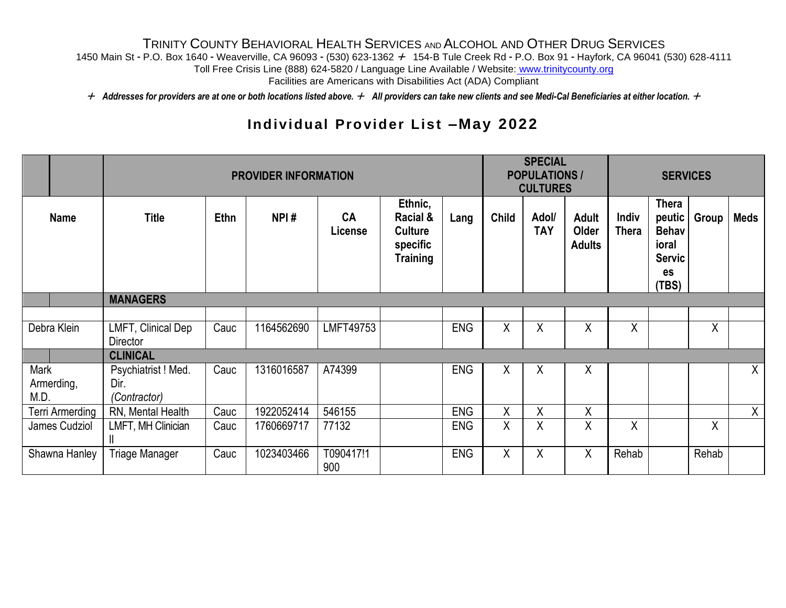## TRINITY COUNTY BEHAVIORAL HEALTH SERVICES AND ALCOHOL AND OTHER DRUG SERVICES

1450 Main St - P.O. Box 1640 - Weaverville, CA 96093 - (530) 623-1362 + 154-B Tule Creek Rd - P.O. Box 91 - Hayfork, CA 96041 (530) 628-4111

Toll Free Crisis Line (888) 624-5820 / Language Line Available / Website: www.trinitycounty.org

Facilities are Americans with Disabilities Act (ADA) Compliant

+ Addresses for providers are at one or both locations listed above. + All providers can take new clients and see Medi-Cal Beneficiaries at either location. +

## **Individual Provider List -May 2022**

|                            |                                             | <b>SPECIAL</b><br><b>POPULATIONS /</b><br><b>CULTURES</b> |            |                             | <b>SERVICES</b>                                                      |            |              |                     |                                        |                              |                                                                            |       |              |
|----------------------------|---------------------------------------------|-----------------------------------------------------------|------------|-----------------------------|----------------------------------------------------------------------|------------|--------------|---------------------|----------------------------------------|------------------------------|----------------------------------------------------------------------------|-------|--------------|
| <b>Name</b>                | <b>Title</b>                                | <b>Ethn</b>                                               | NPI#       | <b>CA</b><br><b>License</b> | Ethnic,<br>Racial &<br><b>Culture</b><br>specific<br><b>Training</b> | Lang       | <b>Child</b> | Adol/<br><b>TAY</b> | <b>Adult</b><br>Older<br><b>Adults</b> | <b>Indiv</b><br><b>Thera</b> | Thera<br>peutic  <br><b>Behav</b><br>ioral<br><b>Servic</b><br>es<br>(TBS) | Group | <b>Meds</b>  |
|                            | <b>MANAGERS</b>                             |                                                           |            |                             |                                                                      |            |              |                     |                                        |                              |                                                                            |       |              |
|                            |                                             |                                                           |            |                             |                                                                      |            |              |                     |                                        |                              |                                                                            |       |              |
| Debra Klein                | LMFT, Clinical Dep<br>Director              | Cauc                                                      | 1164562690 | LMFT49753                   |                                                                      | <b>ENG</b> | X            | X.                  | Χ                                      | Χ                            |                                                                            | X     |              |
|                            | <b>CLINICAL</b>                             |                                                           |            |                             |                                                                      |            |              |                     |                                        |                              |                                                                            |       |              |
| Mark<br>Armerding,<br>M.D. | Psychiatrist ! Med.<br>Dir.<br>(Contractor) | Cauc                                                      | 1316016587 | A74399                      |                                                                      | <b>ENG</b> | X            | Χ                   | χ                                      |                              |                                                                            |       | X            |
| Terri Armerding            | RN, Mental Health                           | Cauc                                                      | 1922052414 | 546155                      |                                                                      | <b>ENG</b> | X            | X                   | χ                                      |                              |                                                                            |       | $\mathsf{X}$ |
| James Cudziol              | LMFT, MH Clinician<br>H.                    | Cauc                                                      | 1760669717 | 77132                       |                                                                      | <b>ENG</b> | χ            | Χ                   | Χ                                      | X                            |                                                                            | X     |              |
| Shawna Hanley              | <b>Triage Manager</b>                       | Cauc                                                      | 1023403466 | T090417!1<br>900            |                                                                      | <b>ENG</b> | X            | Χ                   | X                                      | Rehab                        |                                                                            | Rehab |              |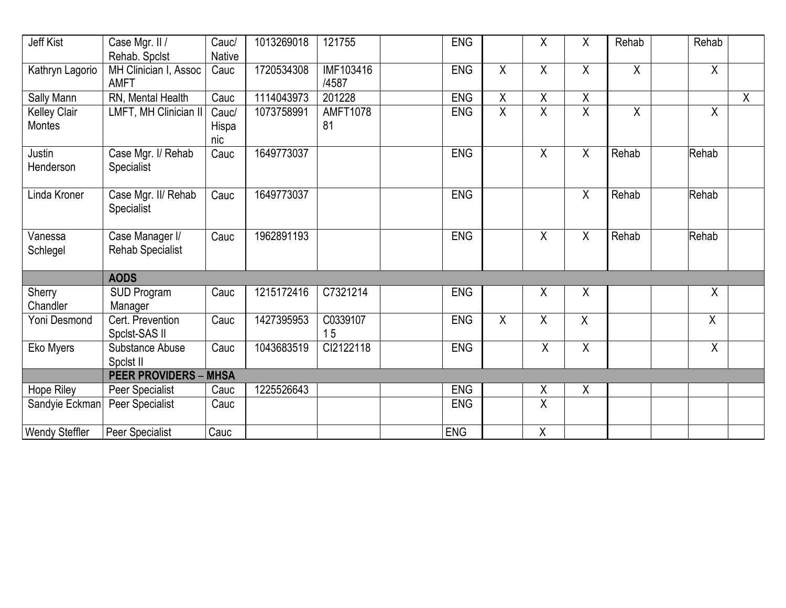| Jeff Kist                            | Case Mgr. II /<br>Rehab. Spclst            | Cauc/<br><b>Native</b> | 1013269018 | 121755                    | ENG        |                | Χ              | χ              | Rehab   | Rehab          |              |
|--------------------------------------|--------------------------------------------|------------------------|------------|---------------------------|------------|----------------|----------------|----------------|---------|----------------|--------------|
| Kathryn Lagorio                      | MH Clinician I, Assoc<br><b>AMFT</b>       | Cauc                   | 1720534308 | <b>IMF103416</b><br>/4587 | <b>ENG</b> | X              | $\overline{X}$ | X              | $\sf X$ | X              |              |
| Sally Mann                           | RN, Mental Health                          | Cauc                   | 1114043973 | 201228                    | ENG        | $\mathsf X$    | Χ              | Χ              |         |                | $\mathsf{X}$ |
| <b>Kelley Clair</b><br><b>Montes</b> | LMFT, MH Clinician II                      | Cauc/<br>Hispa<br>nic  | 1073758991 | <b>AMFT1078</b><br>81     | <b>ENG</b> | $\overline{X}$ | $\overline{X}$ | $\overline{X}$ | X       | X              |              |
| Justin<br>Henderson                  | Case Mgr. I/ Rehab<br>Specialist           | Cauc                   | 1649773037 |                           | <b>ENG</b> |                | $\sf X$        | Χ              | Rehab   | Rehab          |              |
| Linda Kroner                         | Case Mgr. II/ Rehab<br>Specialist          | Cauc                   | 1649773037 |                           | <b>ENG</b> |                |                | $\sf X$        | Rehab   | Rehab          |              |
| Vanessa<br>Schlegel                  | Case Manager I/<br><b>Rehab Specialist</b> | Cauc                   | 1962891193 |                           | ENG        |                | $\pmb{\chi}$   | $\mathsf{X}$   | Rehab   | Rehab          |              |
|                                      | <b>AODS</b>                                |                        |            |                           |            |                |                |                |         |                |              |
| Sherry<br>Chandler                   | <b>SUD Program</b><br>Manager              | Cauc                   | 1215172416 | C7321214                  | <b>ENG</b> |                | Χ              | Χ              |         | Χ              |              |
| Yoni Desmond                         | Cert. Prevention<br>Spclst-SAS II          | Cauc                   | 1427395953 | C0339107<br>15            | <b>ENG</b> | $\overline{X}$ | $\overline{X}$ | $\sf X$        |         | X              |              |
| Eko Myers                            | Substance Abuse<br>Spclst II               | Cauc                   | 1043683519 | Cl2122118                 | <b>ENG</b> |                | $\overline{X}$ | $\overline{X}$ |         | $\overline{X}$ |              |
|                                      | <b>PEER PROVIDERS - MHSA</b>               |                        |            |                           |            |                |                |                |         |                |              |
| Hope Riley                           | Peer Specialist                            | Cauc                   | 1225526643 |                           | <b>ENG</b> |                | Χ              | X              |         |                |              |
| Sandyie Eckman                       | Peer Specialist                            | Cauc                   |            |                           | <b>ENG</b> |                | X              |                |         |                |              |
| <b>Wendy Steffler</b>                | Peer Specialist                            | Cauc                   |            |                           | <b>ENG</b> |                | Χ              |                |         |                |              |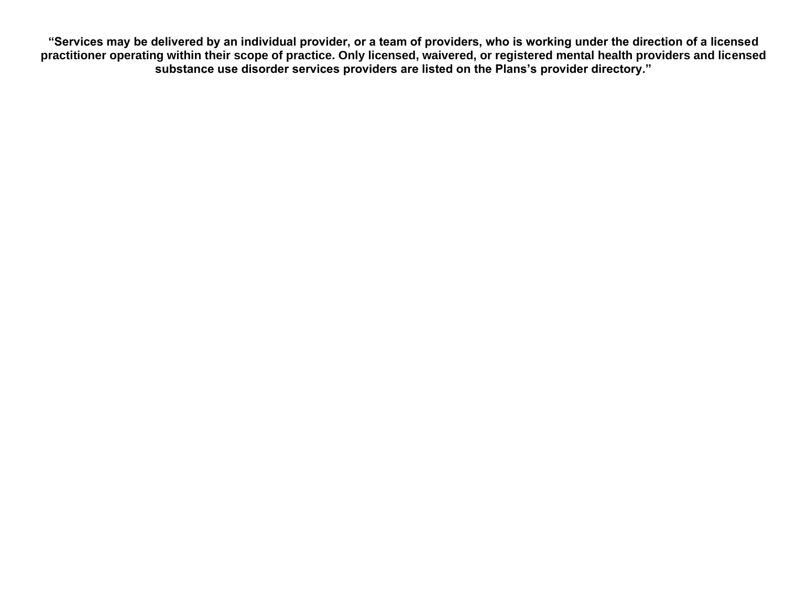**"Services may be delivered by an individual provider, or a team of providers, who is working under the direction of a licensed practitioner operating within their scope of practice. Only licensed, waivered, or registered mental health providers and licensed substance use disorder services providers are listed on the Plans's provider directory."**